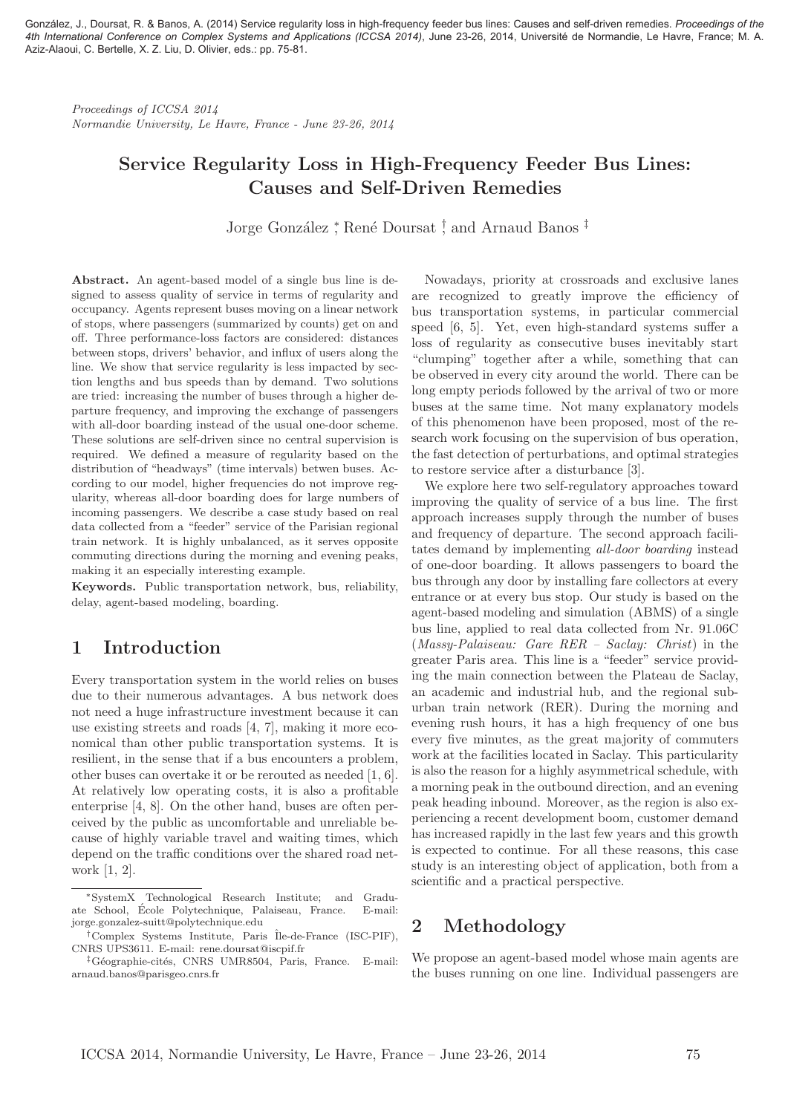González, J., Doursat, R. & Banos, A. (2014) Service regularity loss in high-frequency feeder bus lines: Causes and self-driven remedies. *Proceedings of the 4th International Conference on Complex Systems and Applications (ICCSA 2014)*, June 23-26, 2014, Université de Normandie, Le Havre, France; M. A. Aziz-Alaoui, C. Bertelle, X. Z. Liu, D. Olivier, eds.: pp. 75-81.

Proceedings of ICCSA 2014 Normandie University, Le Havre, France - June 23-26, 2014

# Service Regularity Loss in High-Frequency Feeder Bus Lines: Causes and Self-Driven Remedies

Jorge González <sup>\*</sup>, René Doursat <sup>†</sup>, and Arnaud Banos <sup>‡</sup>

Abstract. An agent-based model of a single bus line is designed to assess quality of service in terms of regularity and occupancy. Agents represent buses moving on a linear network of stops, where passengers (summarized by counts) get on and off. Three performance-loss factors are considered: distances between stops, drivers' behavior, and influx of users along the line. We show that service regularity is less impacted by section lengths and bus speeds than by demand. Two solutions are tried: increasing the number of buses through a higher departure frequency, and improving the exchange of passengers with all-door boarding instead of the usual one-door scheme. These solutions are self-driven since no central supervision is required. We defined a measure of regularity based on the distribution of "headways" (time intervals) betwen buses. According to our model, higher frequencies do not improve regularity, whereas all-door boarding does for large numbers of incoming passengers. We describe a case study based on real data collected from a "feeder" service of the Parisian regional train network. It is highly unbalanced, as it serves opposite commuting directions during the morning and evening peaks, making it an especially interesting example.

Keywords. Public transportation network, bus, reliability, delay, agent-based modeling, boarding.

## 1 Introduction

Every transportation system in the world relies on buses due to their numerous advantages. A bus network does not need a huge infrastructure investment because it can use existing streets and roads [4, 7], making it more economical than other public transportation systems. It is resilient, in the sense that if a bus encounters a problem, other buses can overtake it or be rerouted as needed [1, 6]. At relatively low operating costs, it is also a profitable enterprise [4, 8]. On the other hand, buses are often perceived by the public as uncomfortable and unreliable because of highly variable travel and waiting times, which depend on the traffic conditions over the shared road network [1, 2].

Nowadays, priority at crossroads and exclusive lanes are recognized to greatly improve the efficiency of bus transportation systems, in particular commercial speed [6, 5]. Yet, even high-standard systems suffer a loss of regularity as consecutive buses inevitably start "clumping" together after a while, something that can be observed in every city around the world. There can be long empty periods followed by the arrival of two or more buses at the same time. Not many explanatory models of this phenomenon have been proposed, most of the research work focusing on the supervision of bus operation, the fast detection of perturbations, and optimal strategies to restore service after a disturbance [3].

We explore here two self-regulatory approaches toward improving the quality of service of a bus line. The first approach increases supply through the number of buses and frequency of departure. The second approach facilitates demand by implementing all-door boarding instead of one-door boarding. It allows passengers to board the bus through any door by installing fare collectors at every entrance or at every bus stop. Our study is based on the agent-based modeling and simulation (ABMS) of a single bus line, applied to real data collected from Nr. 91.06C (Massy-Palaiseau: Gare RER – Saclay: Christ) in the greater Paris area. This line is a "feeder" service providing the main connection between the Plateau de Saclay, an academic and industrial hub, and the regional suburban train network (RER). During the morning and evening rush hours, it has a high frequency of one bus every five minutes, as the great majority of commuters work at the facilities located in Saclay. This particularity is also the reason for a highly asymmetrical schedule, with a morning peak in the outbound direction, and an evening peak heading inbound. Moreover, as the region is also experiencing a recent development boom, customer demand has increased rapidly in the last few years and this growth is expected to continue. For all these reasons, this case study is an interesting object of application, both from a scientific and a practical perspective.

## 2 Methodology

We propose an agent-based model whose main agents are the buses running on one line. Individual passengers are

<sup>∗</sup>SystemX Technological Research Institute; and Graduate School, École Polytechnique, Palaiseau, France. jorge.gonzalez-suitt@polytechnique.edu

<sup>†</sup>Complex Systems Institute, Paris ˆIle-de-France (ISC-PIF), CNRS UPS3611. E-mail: rene.doursat@iscpif.fr

<sup>&</sup>lt;sup>‡</sup>Géographie-cités, CNRS UMR8504, Paris, France. E-mail: arnaud.banos@parisgeo.cnrs.fr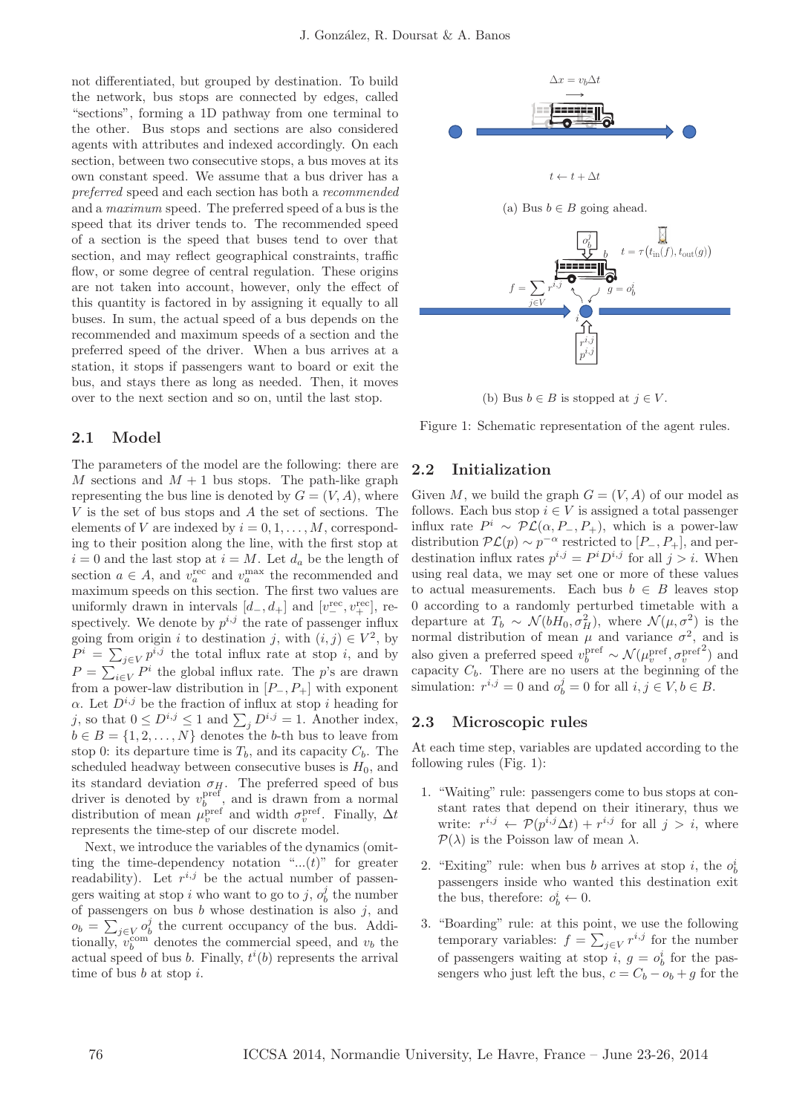not differentiated, but grouped by destination. To build the network, bus stops are connected by edges, called "sections", forming a 1D pathway from one terminal to the other. Bus stops and sections are also considered agents with attributes and indexed accordingly. On each section, between two consecutive stops, a bus moves at its own constant speed. We assume that a bus driver has a preferred speed and each section has both a recommended and a maximum speed. The preferred speed of a bus is the speed that its driver tends to. The recommended speed of a section is the speed that buses tend to over that section, and may reflect geographical constraints, traffic flow, or some degree of central regulation. These origins are not taken into account, however, only the effect of this quantity is factored in by assigning it equally to all buses. In sum, the actual speed of a bus depends on the recommended and maximum speeds of a section and the preferred speed of the driver. When a bus arrives at a station, it stops if passengers want to board or exit the bus, and stays there as long as needed. Then, it moves over to the next section and so on, until the last stop.

### 2.1 Model

The parameters of the model are the following: there are M sections and  $M + 1$  bus stops. The path-like graph representing the bus line is denoted by  $G = (V, A)$ , where V is the set of bus stops and A the set of sections. The elements of V are indexed by  $i = 0, 1, \ldots, M$ , corresponding to their position along the line, with the first stop at  $i = 0$  and the last stop at  $i = M$ . Let  $d_a$  be the length of section  $a \in A$ , and  $v_a^{\text{rec}}$  and  $v_a^{\text{max}}$  the recommended and maximum speeds on this section. The first two values are uniformly drawn in intervals  $[d_-, d_+]$  and  $[v_-^{\text{rec}}, v_+^{\text{rec}}]$ , respectively. We denote by  $p^{i,j}$  the rate of passenger influx going from origin i to destination j, with  $(i, j) \in V^2$ , by  $P^i = \sum_{j \in V} p^{i,j}$  the total influx rate at stop i, and by  $P = \sum_{i \in V} P^i$  the global influx rate. The p's are drawn from a power-law distribution in  $[P_-, P_+]$  with exponent  $\alpha$ . Let  $D^{i,j}$  be the fraction of influx at stop i heading for j, so that  $0 \le D^{i,j} \le 1$  and  $\sum_j D^{i,j} = 1$ . Another index,  $b \in B = \{1, 2, \ldots, N\}$  denotes the b-th bus to leave from stop 0: its departure time is  $T_b$ , and its capacity  $C_b$ . The scheduled headway between consecutive buses is  $H_0$ , and its standard deviation  $\sigma_{H}$ . The preferred speed of bus driver is denoted by  $v_b^{\text{pref}}$ , and is drawn from a normal distribution of mean  $\mu_v^{\text{pref}}$  and width  $\sigma_v^{\text{pref}}$ . Finally,  $\Delta t$ represents the time-step of our discrete model.

Next, we introduce the variables of the dynamics (omitting the time-dependency notation " $...(t)$ " for greater readability). Let  $r^{i,j}$  be the actual number of passengers waiting at stop i who want to go to j,  $o_b^j$  the number of passengers on bus  $b$  whose destination is also  $j$ , and  $o_b = \sum_{j \in V} o_b^j$  the current occupancy of the bus. Additionally,  $v_b^{\text{com}}$  denotes the commercial speed, and  $v_b$  the actual speed of bus  $b$ . Finally,  $t^{i}(b)$  represents the arrival time of bus  $b$  at stop  $i$ .



(b) Bus  $b \in B$  is stopped at  $j \in V$ .

Figure 1: Schematic representation of the agent rules.

### 2.2 Initialization

Given M, we build the graph  $G = (V, A)$  of our model as follows. Each bus stop  $i \in V$  is assigned a total passenger influx rate  $P^i \sim \mathcal{PL}(\alpha, P_-, P_+)$ , which is a power-law distribution  $\mathcal{PL}(p) \sim p^{-\alpha}$  restricted to  $[P_-, P_+]$ , and perdestination influx rates  $p^{i,j} = P^i D^{i,j}$  for all  $j > i$ . When using real data, we may set one or more of these values to actual measurements. Each bus  $b \in B$  leaves stop 0 according to a randomly perturbed timetable with a departure at  $T_b \sim \mathcal{N}(bH_0, \sigma_H^2)$ , where  $\mathcal{N}(\mu, \sigma^2)$  is the normal distribution of mean  $\mu$  and variance  $\sigma^2$ , and is also given a preferred speed  $v^{\mathrm{pref}}_b \sim \mathcal{N}(\mu^{\mathrm{pref}}_v, \sigma^{\mathrm{pref}}_v$  $^{2}$ ) and capacity  $C_b$ . There are no users at the beginning of the simulation:  $r^{i,j} = 0$  and  $o_b^j = 0$  for all  $i, j \in V, b \in B$ .

#### 2.3 Microscopic rules

At each time step, variables are updated according to the following rules (Fig. 1):

- 1. "Waiting" rule: passengers come to bus stops at constant rates that depend on their itinerary, thus we write:  $r^{i,j} \leftarrow \mathcal{P}(p^{i,j}\Delta t) + r^{i,j}$  for all  $j > i$ , where  $\mathcal{P}(\lambda)$  is the Poisson law of mean  $\lambda$ .
- 2. "Exiting" rule: when bus b arrives at stop i, the  $o_t^i$ passengers inside who wanted this destination exit the bus, therefore:  $o_b^i \leftarrow 0$ .
- 3. "Boarding" rule: at this point, we use the following temporary variables:  $f = \sum_{j \in V} r^{i,j}$  for the number of passengers waiting at stop *i*,  $g = o_b^i$  for the passengers who just left the bus,  $c = C_b - o_b + g$  for the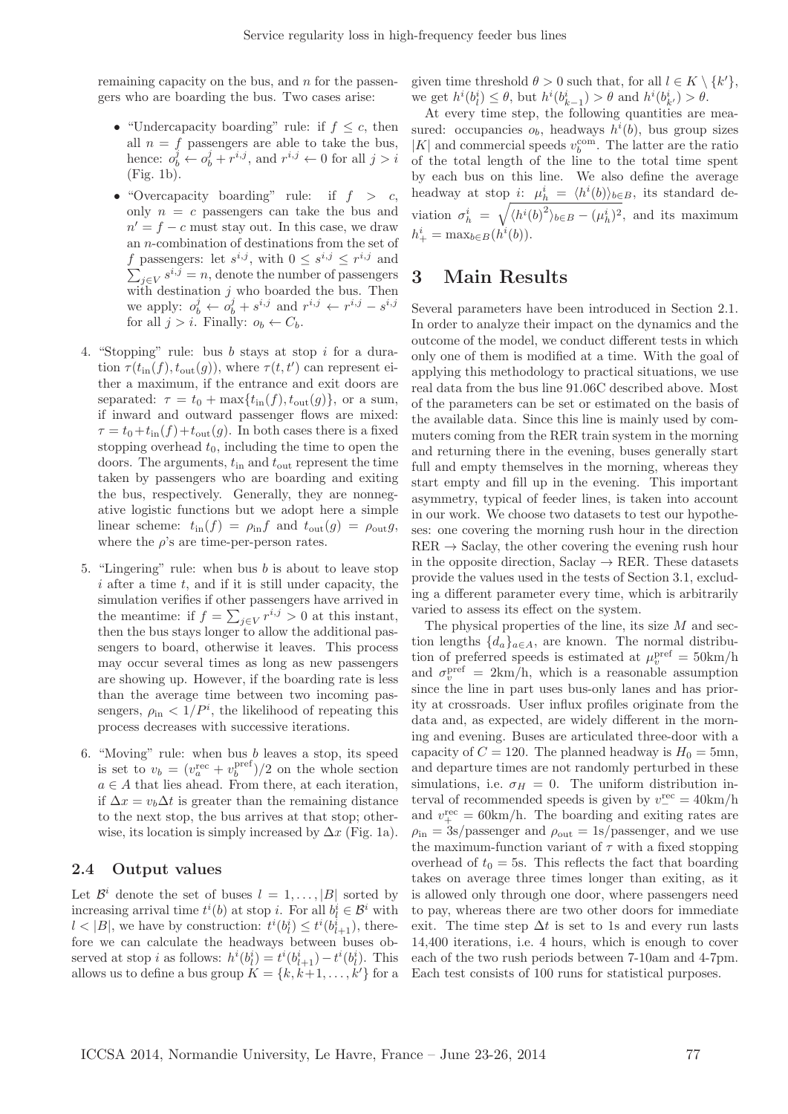remaining capacity on the bus, and  $n$  for the passengers who are boarding the bus. Two cases arise:

- "Undercapacity boarding" rule: if  $f \leq c$ , then all  $n = f$  passengers are able to take the bus, hence:  $o_b^j \leftarrow o_b^j + r^{i,j}$ , and  $r^{i,j} \leftarrow 0$  for all  $j > i$ (Fig. 1b).
- "Overcapacity boarding" rule: if  $f > c$ , only  $n = c$  passengers can take the bus and  $n' = f - c$  must stay out. In this case, we draw an n-combination of destinations from the set of f passengers: let  $s^{i,j}$ , with  $0 \leq s^{i,j} \leq r^{i,j}$  and  $\sum_{j\in V} s^{i,j} = n$ , denote the number of passengers with destination  $j$  who boarded the bus. Then we apply:  $o_b^j \leftarrow o_b^j + s^{i,j}$  and  $r^{i,j} \leftarrow r^{i,j} - s^{i,j}$ for all  $j > i$ . Finally:  $o_b \leftarrow C_b$ .
- 4. "Stopping" rule: bus b stays at stop i for a duration  $\tau(t_{\text{in}}(f), t_{\text{out}}(g))$ , where  $\tau(t, t')$  can represent either a maximum, if the entrance and exit doors are separated:  $\tau = t_0 + \max\{t_{\text{in}}(f), t_{\text{out}}(g)\}\)$ , or a sum, if inward and outward passenger flows are mixed:  $\tau = t_0 + t_{\text{in}}(f) + t_{\text{out}}(g)$ . In both cases there is a fixed stopping overhead  $t_0$ , including the time to open the doors. The arguments,  $t_{\text{in}}$  and  $t_{\text{out}}$  represent the time taken by passengers who are boarding and exiting the bus, respectively. Generally, they are nonnegative logistic functions but we adopt here a simple linear scheme:  $t_{\text{in}}(f) = \rho_{\text{in}}f$  and  $t_{\text{out}}(g) = \rho_{\text{out}}g$ , where the  $\rho$ 's are time-per-person rates.
- 5. "Lingering" rule: when bus  $b$  is about to leave stop  $i$  after a time  $t$ , and if it is still under capacity, the simulation verifies if other passengers have arrived in the meantime: if  $f = \sum_{j \in V} r^{i,j} > 0$  at this instant, then the bus stays longer to allow the additional passengers to board, otherwise it leaves. This process may occur several times as long as new passengers are showing up. However, if the boarding rate is less than the average time between two incoming passengers,  $\rho_{\text{in}} < 1/P^i$ , the likelihood of repeating this process decreases with successive iterations.
- 6. "Moving" rule: when bus  $b$  leaves a stop, its speed is set to  $v_b = (v_a^{\text{rec}} + v_b^{\text{pref}})/2$  on the whole section  $a \in A$  that lies ahead. From there, at each iteration, if  $\Delta x = v_b \Delta t$  is greater than the remaining distance to the next stop, the bus arrives at that stop; otherwise, its location is simply increased by  $\Delta x$  (Fig. 1a).

### 2.4 Output values

Let  $\mathcal{B}^i$  denote the set of buses  $l = 1, \ldots, |B|$  sorted by increasing arrival time  $t^i(b)$  at stop *i*. For all  $b_l^i \in \mathcal{B}^i$  with  $l < |B|$ , we have by construction:  $t^i(b_l^i) \leq t^i(b_{l+1}^i)$ , therefore we can calculate the headways between buses observed at stop *i* as follows:  $h^{i}(b_{l}^{i}) = t^{i}(b_{l+1}^{i}) - t^{i}(b_{l}^{i})$ . This allows us to define a bus group  $K = \{k, k+1, \ldots, k'\}$  for a given time threshold  $\theta > 0$  such that, for all  $l \in K \setminus \{k'\},$ we get  $h^{i}(b_{l}^{i}) \leq \theta$ , but  $h^{i}(b_{k-1}^{i}) > \theta$  and  $h^{i}(b_{k'}^{i}) > \theta$ .

At every time step, the following quantities are measured: occupancies  $o_b$ , headways  $h^i(b)$ , bus group sizes  $|K|$  and commercial speeds  $v^{\rm com}_b.$  The latter are the ratio of the total length of the line to the total time spent by each bus on this line. We also define the average headway at stop *i*:  $\mu_h^i = \langle h^i(b) \rangle_{b \in B}$ , its standard deviation  $\sigma_h^i = \sqrt{\langle h^i(b)^2 \rangle_{b \in B} - (\mu_h^i)^2}$ , and its maximum  $h^i_+ = \max_{b \in B} (h^i(b)).$ 

## 3 Main Results

Several parameters have been introduced in Section 2.1. In order to analyze their impact on the dynamics and the outcome of the model, we conduct different tests in which only one of them is modified at a time. With the goal of applying this methodology to practical situations, we use real data from the bus line 91.06C described above. Most of the parameters can be set or estimated on the basis of the available data. Since this line is mainly used by commuters coming from the RER train system in the morning and returning there in the evening, buses generally start full and empty themselves in the morning, whereas they start empty and fill up in the evening. This important asymmetry, typical of feeder lines, is taken into account in our work. We choose two datasets to test our hypotheses: one covering the morning rush hour in the direction  $RER \rightarrow$  Saclay, the other covering the evening rush hour in the opposite direction, Saclay  $\rightarrow$  RER. These datasets provide the values used in the tests of Section 3.1, excluding a different parameter every time, which is arbitrarily varied to assess its effect on the system.

The physical properties of the line, its size  $M$  and section lengths  ${d_a}_{a \in A}$ , are known. The normal distribution of preferred speeds is estimated at  $\mu_v^{\text{pref}} = 50 \text{km/h}$ and  $\sigma_v^{\text{pref}} = 2 \text{km/h}$ , which is a reasonable assumption since the line in part uses bus-only lanes and has priority at crossroads. User influx profiles originate from the data and, as expected, are widely different in the morning and evening. Buses are articulated three-door with a capacity of  $C = 120$ . The planned headway is  $H_0 = 5$ mn, and departure times are not randomly perturbed in these simulations, i.e.  $\sigma_H = 0$ . The uniform distribution interval of recommended speeds is given by  $v_-^{\text{rec}} = 40 \text{km/h}$ and  $v_{+}^{\text{rec}} = 60 \text{km/h}$ . The boarding and exiting rates are  $\rho_{\rm in} = 3$ s/passenger and  $\rho_{\rm out} = 1$ s/passenger, and we use the maximum-function variant of  $\tau$  with a fixed stopping overhead of  $t_0 = 5$ s. This reflects the fact that boarding takes on average three times longer than exiting, as it is allowed only through one door, where passengers need to pay, whereas there are two other doors for immediate exit. The time step  $\Delta t$  is set to 1s and every run lasts 14,400 iterations, i.e. 4 hours, which is enough to cover each of the two rush periods between 7-10am and 4-7pm. Each test consists of 100 runs for statistical purposes.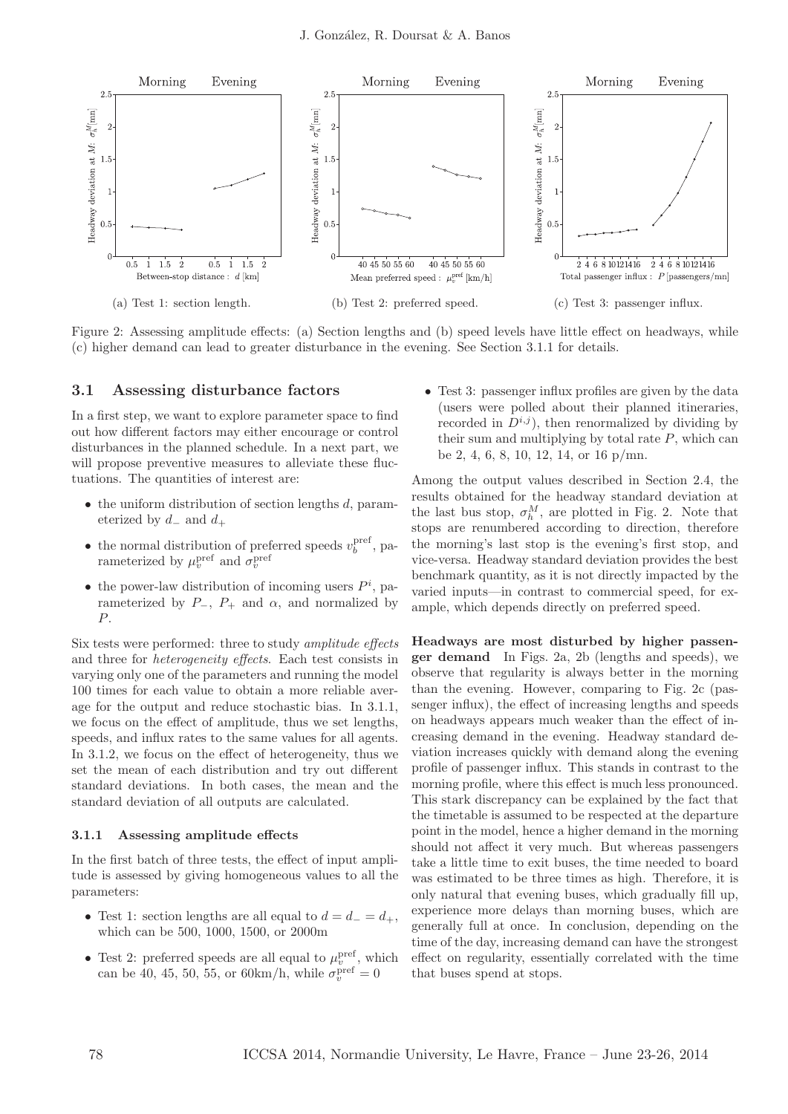

Figure 2: Assessing amplitude effects: (a) Section lengths and (b) speed levels have little effect on headways, while (c) higher demand can lead to greater disturbance in the evening. See Section 3.1.1 for details.

#### 3.1 Assessing disturbance factors

In a first step, we want to explore parameter space to find out how different factors may either encourage or control disturbances in the planned schedule. In a next part, we will propose preventive measures to alleviate these fluctuations. The quantities of interest are:

- $\bullet$  the uniform distribution of section lengths  $d$ , parameterized by  $d_-\text{ and } d_+$
- the normal distribution of preferred speeds  $v_b^{\text{pref}}$ , parameterized by  $\mu_v^{\text{pref}}$  and  $\sigma_v^{\text{pref}}$
- the power-law distribution of incoming users  $P^i$ , parameterized by  $P_-, P_+$  and  $\alpha$ , and normalized by P.

Six tests were performed: three to study amplitude effects and three for heterogeneity effects. Each test consists in varying only one of the parameters and running the model 100 times for each value to obtain a more reliable average for the output and reduce stochastic bias. In 3.1.1, we focus on the effect of amplitude, thus we set lengths, speeds, and influx rates to the same values for all agents. In 3.1.2, we focus on the effect of heterogeneity, thus we set the mean of each distribution and try out different standard deviations. In both cases, the mean and the standard deviation of all outputs are calculated.

#### 3.1.1 Assessing amplitude effects

In the first batch of three tests, the effect of input amplitude is assessed by giving homogeneous values to all the parameters:

- Test 1: section lengths are all equal to  $d = d_- = d_+$ , which can be 500, 1000, 1500, or 2000m
- Test 2: preferred speeds are all equal to  $\mu_v^{\text{pref}}$ , which can be 40, 45, 50, 55, or 60 km/h, while  $\sigma_v^{\text{pref}} = 0$

• Test 3: passenger influx profiles are given by the data (users were polled about their planned itineraries, recorded in  $D^{i,j}$ , then renormalized by dividing by their sum and multiplying by total rate  $P$ , which can be 2, 4, 6, 8, 10, 12, 14, or 16 p/mn.

Among the output values described in Section 2.4, the results obtained for the headway standard deviation at the last bus stop,  $\sigma_h^M$ , are plotted in Fig. 2. Note that stops are renumbered according to direction, therefore the morning's last stop is the evening's first stop, and vice-versa. Headway standard deviation provides the best benchmark quantity, as it is not directly impacted by the varied inputs—in contrast to commercial speed, for example, which depends directly on preferred speed.

Headways are most disturbed by higher passenger demand In Figs. 2a, 2b (lengths and speeds), we observe that regularity is always better in the morning than the evening. However, comparing to Fig. 2c (passenger influx), the effect of increasing lengths and speeds on headways appears much weaker than the effect of increasing demand in the evening. Headway standard deviation increases quickly with demand along the evening profile of passenger influx. This stands in contrast to the morning profile, where this effect is much less pronounced. This stark discrepancy can be explained by the fact that the timetable is assumed to be respected at the departure point in the model, hence a higher demand in the morning should not affect it very much. But whereas passengers take a little time to exit buses, the time needed to board was estimated to be three times as high. Therefore, it is only natural that evening buses, which gradually fill up, experience more delays than morning buses, which are generally full at once. In conclusion, depending on the time of the day, increasing demand can have the strongest effect on regularity, essentially correlated with the time that buses spend at stops.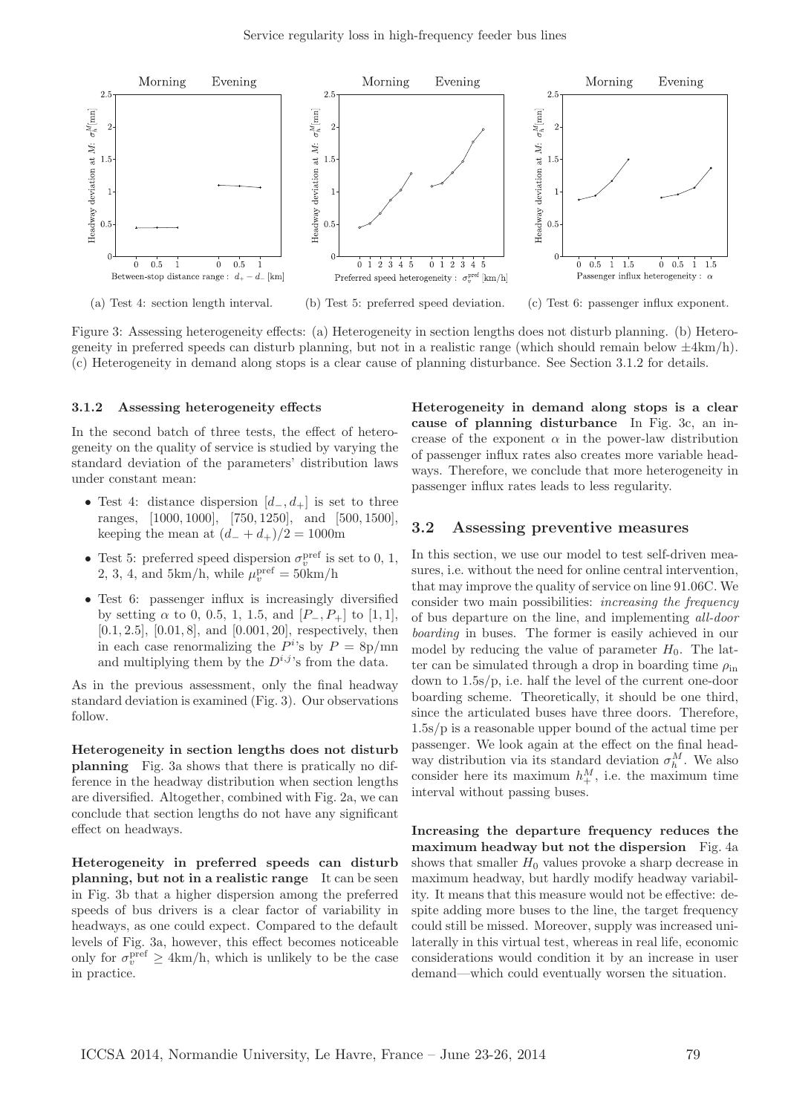

Figure 3: Assessing heterogeneity effects: (a) Heterogeneity in section lengths does not disturb planning. (b) Heterogeneity in preferred speeds can disturb planning, but not in a realistic range (which should remain below  $\pm 4 \text{km/h}$ ). (c) Heterogeneity in demand along stops is a clear cause of planning disturbance. See Section 3.1.2 for details.

#### 3.1.2 Assessing heterogeneity effects

In the second batch of three tests, the effect of heterogeneity on the quality of service is studied by varying the standard deviation of the parameters' distribution laws under constant mean:

- Test 4: distance dispersion  $[d_-, d_+]$  is set to three ranges, [1000, 1000], [750, 1250], and [500, 1500], keeping the mean at  $(d_- + d_+)/2 = 1000$ m
- Test 5: preferred speed dispersion  $\sigma_v^{\text{pref}}$  is set to 0, 1, 2, 3, 4, and 5km/h, while  $\mu_v^{\text{pref}} = 50 \text{km/h}$
- Test 6: passenger influx is increasingly diversified by setting  $\alpha$  to 0, 0.5, 1, 1.5, and  $[P_-, P_+]$  to [1, 1], [0.1, 2.5], [0.01, 8], and [0.001, 20], respectively, then in each case renormalizing the  $P^i$ 's by  $P = 8p/mm$ and multiplying them by the  $D^{i,j}$ 's from the data.

As in the previous assessment, only the final headway standard deviation is examined (Fig. 3). Our observations follow.

Heterogeneity in section lengths does not disturb planning Fig. 3a shows that there is pratically no difference in the headway distribution when section lengths are diversified. Altogether, combined with Fig. 2a, we can conclude that section lengths do not have any significant effect on headways.

Heterogeneity in preferred speeds can disturb planning, but not in a realistic range It can be seen in Fig. 3b that a higher dispersion among the preferred speeds of bus drivers is a clear factor of variability in headways, as one could expect. Compared to the default levels of Fig. 3a, however, this effect becomes noticeable only for  $\sigma_v^{\text{pref}} \geq 4 \text{km/h}$ , which is unlikely to be the case in practice.

Heterogeneity in demand along stops is a clear cause of planning disturbance In Fig. 3c, an increase of the exponent  $\alpha$  in the power-law distribution of passenger influx rates also creates more variable headways. Therefore, we conclude that more heterogeneity in passenger influx rates leads to less regularity.

#### 3.2 Assessing preventive measures

In this section, we use our model to test self-driven measures, i.e. without the need for online central intervention, that may improve the quality of service on line 91.06C. We consider two main possibilities: increasing the frequency of bus departure on the line, and implementing all-door boarding in buses. The former is easily achieved in our model by reducing the value of parameter  $H_0$ . The latter can be simulated through a drop in boarding time  $\rho_{\text{in}}$ down to 1.5s/p, i.e. half the level of the current one-door boarding scheme. Theoretically, it should be one third, since the articulated buses have three doors. Therefore, 1.5s/p is a reasonable upper bound of the actual time per passenger. We look again at the effect on the final headway distribution via its standard deviation  $\sigma_h^M$ . We also consider here its maximum  $h_+^M$ , i.e. the maximum time interval without passing buses.

Increasing the departure frequency reduces the maximum headway but not the dispersion Fig. 4a shows that smaller  $H_0$  values provoke a sharp decrease in maximum headway, but hardly modify headway variability. It means that this measure would not be effective: despite adding more buses to the line, the target frequency could still be missed. Moreover, supply was increased unilaterally in this virtual test, whereas in real life, economic considerations would condition it by an increase in user demand—which could eventually worsen the situation.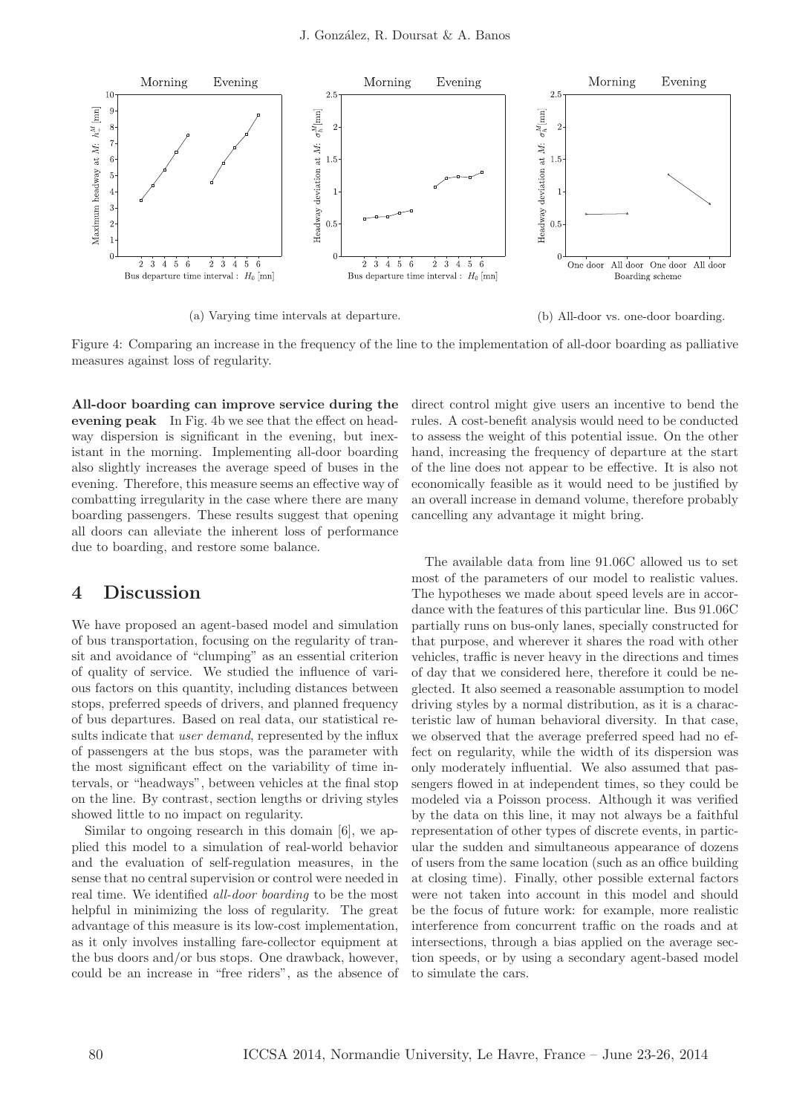

(a) Varying time intervals at departure. (b) All-door vs. one-door boarding.

Figure 4: Comparing an increase in the frequency of the line to the implementation of all-door boarding as palliative measures against loss of regularity.

All-door boarding can improve service during the evening peak In Fig. 4b we see that the effect on headway dispersion is significant in the evening, but inexistant in the morning. Implementing all-door boarding also slightly increases the average speed of buses in the evening. Therefore, this measure seems an effective way of combatting irregularity in the case where there are many boarding passengers. These results suggest that opening all doors can alleviate the inherent loss of performance due to boarding, and restore some balance.

## 4 Discussion

We have proposed an agent-based model and simulation of bus transportation, focusing on the regularity of transit and avoidance of "clumping" as an essential criterion of quality of service. We studied the influence of various factors on this quantity, including distances between stops, preferred speeds of drivers, and planned frequency of bus departures. Based on real data, our statistical results indicate that *user demand*, represented by the influx of passengers at the bus stops, was the parameter with the most significant effect on the variability of time intervals, or "headways", between vehicles at the final stop on the line. By contrast, section lengths or driving styles showed little to no impact on regularity.

Similar to ongoing research in this domain [6], we applied this model to a simulation of real-world behavior and the evaluation of self-regulation measures, in the sense that no central supervision or control were needed in real time. We identified all-door boarding to be the most helpful in minimizing the loss of regularity. The great advantage of this measure is its low-cost implementation, as it only involves installing fare-collector equipment at the bus doors and/or bus stops. One drawback, however, could be an increase in "free riders", as the absence of

direct control might give users an incentive to bend the rules. A cost-benefit analysis would need to be conducted to assess the weight of this potential issue. On the other hand, increasing the frequency of departure at the start of the line does not appear to be effective. It is also not economically feasible as it would need to be justified by an overall increase in demand volume, therefore probably cancelling any advantage it might bring.

The available data from line 91.06C allowed us to set most of the parameters of our model to realistic values. The hypotheses we made about speed levels are in accordance with the features of this particular line. Bus 91.06C partially runs on bus-only lanes, specially constructed for that purpose, and wherever it shares the road with other vehicles, traffic is never heavy in the directions and times of day that we considered here, therefore it could be neglected. It also seemed a reasonable assumption to model driving styles by a normal distribution, as it is a characteristic law of human behavioral diversity. In that case, we observed that the average preferred speed had no effect on regularity, while the width of its dispersion was only moderately influential. We also assumed that passengers flowed in at independent times, so they could be modeled via a Poisson process. Although it was verified by the data on this line, it may not always be a faithful representation of other types of discrete events, in particular the sudden and simultaneous appearance of dozens of users from the same location (such as an office building at closing time). Finally, other possible external factors were not taken into account in this model and should be the focus of future work: for example, more realistic interference from concurrent traffic on the roads and at intersections, through a bias applied on the average section speeds, or by using a secondary agent-based model to simulate the cars.